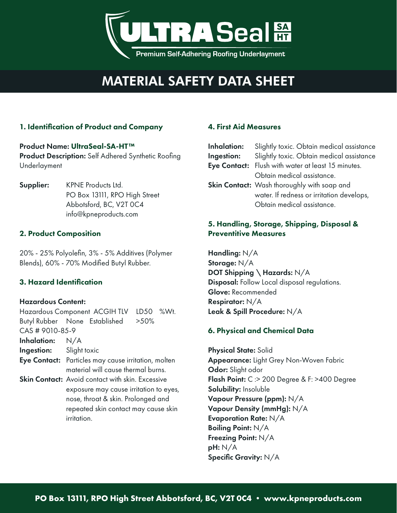

# MATERIAL SAFETY DATA SHEET

# 1. Identification of Product and Company

## Product Name: UltraSeal-SA-HT™ Product Description: Self Adhered Synthetic Roofing Underlayment

Supplier: KPNE Products Ltd. PO Box 13111, RPO High Street Abbotsford, BC, V2T 0C4 info@kpneproducts.com

## 2. Product Composition

20% - 25% Polyolefin, 3% - 5% Additives (Polymer Blends), 60% - 70% Modified Butyl Rubber.

# 3. Hazard Identification

### Hazardous Content:

|                                |                                                     | Hazardous Component ACGIH TLV LD50 %Wt.                 |  |  |
|--------------------------------|-----------------------------------------------------|---------------------------------------------------------|--|--|
|                                |                                                     | Butyl Rubber None Established >50%                      |  |  |
| CAS # 9010-85-9                |                                                     |                                                         |  |  |
| Inhalation: $N/A$              |                                                     |                                                         |  |  |
| <b>Ingestion:</b> Slight toxic |                                                     |                                                         |  |  |
|                                | Eye Contact: Particles may cause irritation, molten |                                                         |  |  |
|                                |                                                     | material will cause thermal burns.                      |  |  |
|                                |                                                     | <b>Skin Contact:</b> Avoid contact with skin. Excessive |  |  |
|                                | exposure may cause irritation to eyes,              |                                                         |  |  |
|                                | nose, throat & skin. Prolonged and                  |                                                         |  |  |
|                                | repeated skin contact may cause skin                |                                                         |  |  |
|                                | irritation.                                         |                                                         |  |  |

## 4. First Aid Measures

| Inhalation: | Slightly toxic. Obtain medical assistance          |
|-------------|----------------------------------------------------|
| Ingestion:  | Slightly toxic. Obtain medical assistance          |
|             | Eye Contact: Flush with water at least 15 minutes. |
|             | Obtain medical assistance.                         |
|             | Skin Contact: Wash thoroughly with soap and        |
|             | water. If redness or irritation develops,          |
|             | Obtain medical assistance.                         |
|             |                                                    |

## 5. Handling, Storage, Shipping, Disposal & Preventitive Measures

Handling: N/A Storage: N/A DOT Shipping \ Hazards: N/A Disposal: Follow Local disposal regulations. Glove: Recommended Respirator: N/A Leak & Spill Procedure: N/A

# 6. Physical and Chemical Data

Physical State: Solid Appearance: Light Grey Non-Woven Fabric Odor: Slight odor Flash Point: C :> 200 Degree & F: >400 Degree Solubility: Insoluble Vapour Pressure (ppm): N/A Vapour Density (mmHg): N/A Evaporation Rate: N/A Boiling Point: N/A Freezing Point: N/A pH: N/A Specific Gravity: N/A